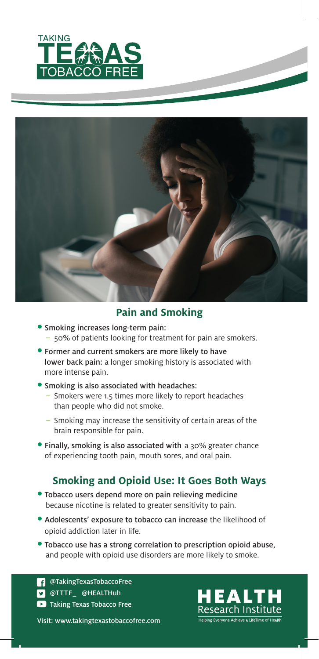



#### **Pain and Smoking**

- Smoking increases long-term pain: – 50% of patients looking for treatment for pain are smokers.
- Former and current smokers are more likely to have lower back pain: a longer smoking history is associated with more intense pain.

#### • Smoking is also associated with headaches:

- Smokers were 1.5 times more likely to report headaches than people who did not smoke.
- Smoking may increase the sensitivity of certain areas of the brain responsible for pain.
- Finally, smoking is also associated with a 30% greater chance of experiencing tooth pain, mouth sores, and oral pain.

#### **Smoking and Opioid Use: It Goes Both Ways**

- Tobacco users depend more on pain relieving medicine because nicotine is related to greater sensitivity to pain.
- Adolescents' exposure to tobacco can increase the likelihood of opioid addiction later in life.
- Tobacco use has a strong correlation to prescription opioid abuse, and people with opioid use disorders are more likely to smoke.

**Taking Texas Tobacco Free D** @TTTF\_ @HEALTHuh **COTAKINGTEXASTOBACCOFree** 

Visit: www.takingtexastobaccofree.com